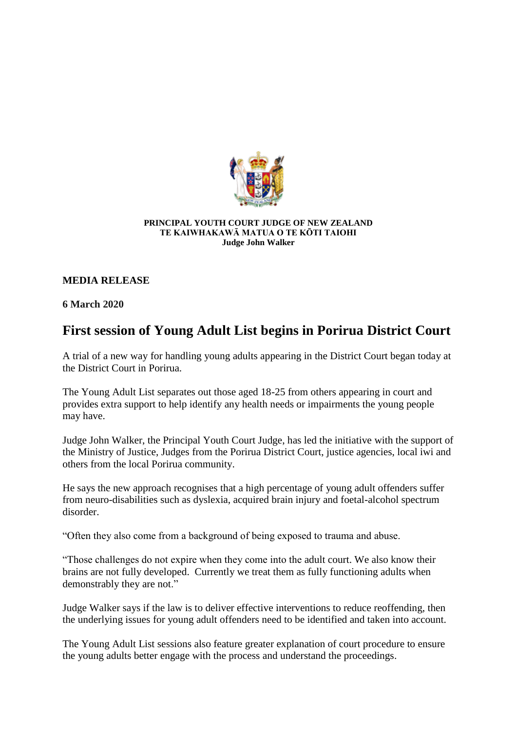

## **PRINCIPAL YOUTH COURT JUDGE OF NEW ZEALAND TE KAIWHAKAWĀ MATUA O TE KŌTI TAIOHI Judge John Walker**

## **MEDIA RELEASE**

**6 March 2020**

## **First session of Young Adult List begins in Porirua District Court**

A trial of a new way for handling young adults appearing in the District Court began today at the District Court in Porirua.

The Young Adult List separates out those aged 18-25 from others appearing in court and provides extra support to help identify any health needs or impairments the young people may have.

Judge John Walker, the Principal Youth Court Judge, has led the initiative with the support of the Ministry of Justice, Judges from the Porirua District Court, justice agencies, local iwi and others from the local Porirua community.

He says the new approach recognises that a high percentage of young adult offenders suffer from neuro-disabilities such as dyslexia, acquired brain injury and foetal-alcohol spectrum disorder.

"Often they also come from a background of being exposed to trauma and abuse.

"Those challenges do not expire when they come into the adult court. We also know their brains are not fully developed. Currently we treat them as fully functioning adults when demonstrably they are not."

Judge Walker says if the law is to deliver effective interventions to reduce reoffending, then the underlying issues for young adult offenders need to be identified and taken into account.

The Young Adult List sessions also feature greater explanation of court procedure to ensure the young adults better engage with the process and understand the proceedings.